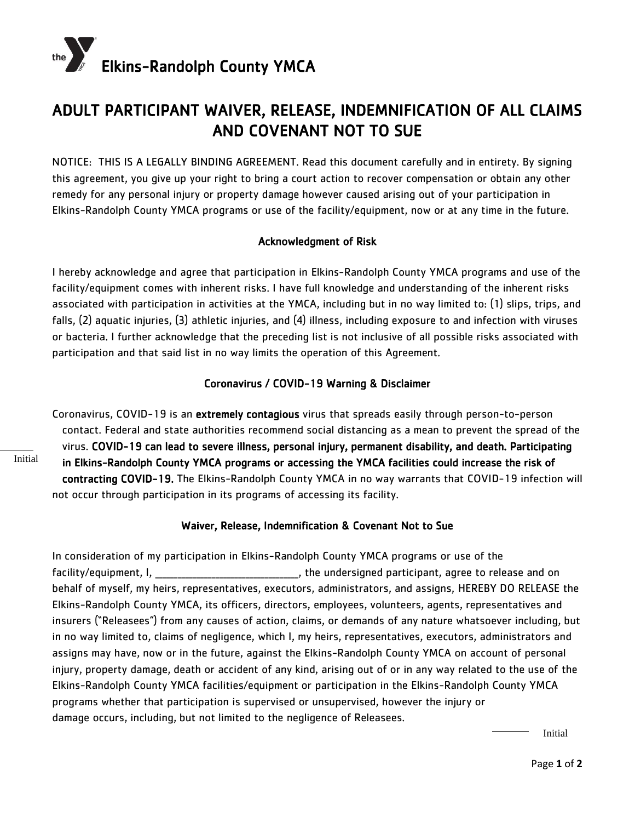

## ADULT PARTICIPANT WAIVER, RELEASE, INDEMNIFICATION OF ALL CLAIMS AND COVENANT NOT TO SUE

NOTICE: THIS IS A LEGALLY BINDING AGREEMENT. Read this document carefully and in entirety. By signing this agreement, you give up your right to bring a court action to recover compensation or obtain any other remedy for any personal injury or property damage however caused arising out of your participation in Elkins-Randolph County YMCA programs or use of the facility/equipment, now or at any time in the future.

## Acknowledgment of Risk

I hereby acknowledge and agree that participation in Elkins-Randolph County YMCA programs and use of the facility/equipment comes with inherent risks. I have full knowledge and understanding of the inherent risks associated with participation in activities at the YMCA, including but in no way limited to: (1) slips, trips, and falls, (2) aquatic injuries, (3) athletic injuries, and (4) illness, including exposure to and infection with viruses or bacteria. I further acknowledge that the preceding list is not inclusive of all possible risks associated with participation and that said list in no way limits the operation of this Agreement.

## Coronavirus / COVID-19 Warning & Disclaimer

Coronavirus, COVID-19 is an extremely contagious virus that spreads easily through person-to-person contact. Federal and state authorities recommend social distancing as a mean to prevent the spread of the virus. COVID-19 can lead to severe illness, personal injury, permanent disability, and death. Participating in Elkins-Randolph County YMCA programs or accessing the YMCA facilities could increase the risk of contracting COVID-19. The Elkins-Randolph County YMCA in no way warrants that COVID-19 infection will not occur through participation in its programs of accessing its facility.

## Waiver, Release, Indemnification & Covenant Not to Sue

In consideration of my participation in Elkins-Randolph County YMCA programs or use of the facility/equipment, I, \_\_\_\_\_\_\_\_\_\_\_\_\_\_\_\_\_\_\_\_\_\_\_\_\_\_\_\_\_\_\_\_\_, the undersigned participant, agree to release and on behalf of myself, my heirs, representatives, executors, administrators, and assigns, HEREBY DO RELEASE the Elkins-Randolph County YMCA, its officers, directors, employees, volunteers, agents, representatives and insurers ("Releasees") from any causes of action, claims, or demands of any nature whatsoever including, but in no way limited to, claims of negligence, which I, my heirs, representatives, executors, administrators and assigns may have, now or in the future, against the Elkins-Randolph County YMCA on account of personal injury, property damage, death or accident of any kind, arising out of or in any way related to the use of the Elkins-Randolph County YMCA facilities/equipment or participation in the Elkins-Randolph County YMCA programs whether that participation is supervised or unsupervised, however the injury or damage occurs, including, but not limited to the negligence of Releasees.

Initial

Initial